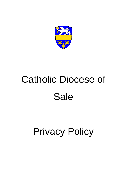

# Catholic Diocese of Sale

# Privacy Policy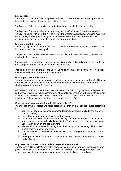#### **Introduction**

The Catholic Diocese of Sale comprises parishes, schools and social services providers all directed to proclaiming the good news of Jesus Christ.

The Diocese of Sale is committed to protecting the personal information it collects.

The Diocese of Sale complies with the *Privacy Act 1988* (Cth) (**Act**) and the Australian Privacy Principles (**APPs**) in the Act as well as the Victorian *Health Records Act 2001*. This Privacy Policy is designed to tell you about the Diocese's practices in relation to the collection, use, disclosure and storage of personal information.

#### **Application of this policy**

This policy applies to those agencies of the Diocese of Sale and its auspiced bodies which do not have their own privacy policy.

The policy applies where personal information is collected, used, disclosed, or otherwise handled by the Diocese.

The policy does not apply to records or information held or collected on behalf of or relating to existing and former employees of the Diocese of Sale.

This policy is not a term of any contract, including any contract of employment. This policy may be varied by the Diocese from time to time.

#### **What is personal information?**

Personal information is any information, including an opinion, about you or that identifies you or from which your identity can reasonably be determined, whether true or not or and whether recorded in some form or not.

Sensitive information is a subset of personal information which is given additional protection by the Privacy Act and includes information about religious affiliation or beliefs, ethnic origin, criminal record and sexuality. Health information is also sensitive information and its handling in Victoria is also regulated by the Health Records Act.

#### **What personal information does the Diocese collect?**

The Diocese of Sale collects and holds personal information that includes (but is not limited to);

- your name, address, telephone number, facsimile number, email address and other contact details,
- date of birth, gender, marital status and occupation,
- financial information, such as donation history and credit card details, for instance, when you provide such details directly to the Diocese or on a collection envelope at your Parish or an on line donation form,
- identification documents, including driver license, passport, Working with Children Check card or proof of age card,
- your affiliation with and belief in the Catholic Church and your sacramental records, and
- photographs, videos and news stories in respect of Catholic Church related events and activities.

# **Why does the Diocese of Sale collect personal information?**

The Diocese of Sale collects and holds personal information for various reasons (which we generally notify to you at the time of collection), including the following primary purposes:

to administer the sacraments and to provide spiritual and pastoral care,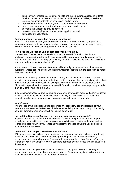- to place your contact details on mailing lists and in computer databases in order to provide you with information about Catholic Church related activities, workshops, lectures, seminars, retreats, events, issues and initiatives,
- to provide services or goods to you or a person nominated by you,
- to seek, receive and administer offerings and donations from you,
- to enable the Diocese to provide services,
- to assess your employment and volunteer application, and
- to manage our volunteers.

# **Consequences of not providing personal information**

If you do not provide us with your personal information or the information you provide is incomplete or inaccurate, we may be unable to provide you or a person nominated by you with the information, services or goods you or they are seeking.

# **How does the Diocese of Sale collect personal information?**

The Diocese of Sale's usual practice is to collect personal information directly from application forms and registration forms completed by you or your guardian/responsible person, from face to face meetings, interviews, telephone calls, via our web site or by some other method (such as by post or email).

In the case of children, personal information will ordinarily be collected from their parents or guardians, unless specific and/or unusual circumstances require that the collection be made directly from the child.

In addition to collecting personal information from you, sometimes the Diocese of Sale collects personal information from a third party if it is unreasonable or impracticable to collect the information from you directly, for example, where the information is provided to the Diocese from parishes (for instance, personal information provided when supporting a parish thanksgiving/stewardship program).

In some circumstances you will be able to provide the information requested anonymously or under a pseudonym. However we will need to identify you in many circumstances for example to administer sacraments or to provide you with services or goods.

# **Your Consent**

The Diocese of Sale requires you to consent to any collection, use or disclosure of your personal information by the Diocese of Sale either explicitly in writing or orally or implied by conduct. Normally your consent will be implied by conduct.

# **How will the Diocese of Sale use the personal information you provide?**

In general terms, the Diocese of Sale uses and discloses the personal information you provide for the specific purpose or purposes for which it was collected and for secondary related purposes for which you reasonably expect the Diocese of Sale to use or disclose your personal information.

# **Communications to you from the Diocese of Sale**

With your consent we will send you emails or other communications, such as a newsletter, about the Diocese of Sale and our activities (including information about marketing, promotional, and research purposes), along with communications about Catholic-Churchrelated activities, workshops, lectures, seminars, retreats, events, issues and initiatives from time-to-time.

Please be aware that you are free to "unsubscribe" to any publication or marketing or promotional communication that you receive from the Diocese at any time. All newsletters sent include an unsubscribe link the footer of the email.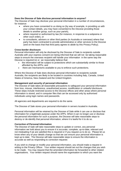# **Does the Diocese of Sale disclose personal information to anyone?**

The Diocese of Sale may disclose your personal information in a number of circumstances, for instance:

- where you have consented to us doing so (by way of example, in providing us with your contact details, you may have consented to the Diocese providing those details to another group, such as your parish),
- where required or authorised by law (for instance, in response to a subpoena or other court order), or
- to consultants, advisers or other third parties (in Australia or overseas) where that party has been contracted to provide administrative or other services to the Diocese (and on the basis that that third party agrees to abide by this Privacy Policy).

#### **Cross-border disclosure**

Personal information will only be disclosed by the Diocese of Sale to recipients outside Australia with your express consent (on being informed that we will not be taking reasonable steps to ensure the overseas recipient will handle your information in the same way the Diocese is required to) or we reasonably believe that:

- the information will be subject to protections which are substantially similar to those afforded by the APPs; and
- there are mechanisms available to you to enforce such protections.

Where the Diocese of Sale does disclose personal information to recipients outside Australia, the recipients are likely to be located in countries including Italy, Canada, United States of America, New Zealand and the United Kingdom.

#### **Management and security of personal information**

The Diocese of Sale takes all reasonable precautions to safeguard your personal information from loss, misuse, interference, unauthorised access, modification or unlawful disclosure. These steps include restricted access to the Diocese offices and other areas where personal information is stored, and in computer files that can be accessed only by authorised individuals using login names and passwords.

All agencies and departments are required to do the same.

The Diocese of Sale stores your personal information in servers located in Australia.

Personal information will be retained by the Diocese of Sale while it can use or disclose that information for a legitimate purpose under the APPs. When it can no longer use or disclose the personal information for such a purpose, the Diocese will take reasonable steps to destroy or de-identify that personal information, where it is lawful for it to do so.

# **Correction of Personal Information**

The Diocese of Sale will take reasonable steps to update or correct, any personal information we hold about you to ensure it is accurate, complete, up-to-date, relevant and not misleading if we are satisfied this is required or if you request us to do so. Please let us know when any of your details change so that we can ensure your personal information is kept up to date. The Diocese will take reasonable steps to ensure the information is accurate as well as responding to correction requests

If you wish to change or modify your personal information, you should make a request in writing to the Privacy Officer. Your written request should set out the changes that you wish to be made. You may request that the amended information be forwarded to other related organisations. Your written request should name the organisation to which you want the